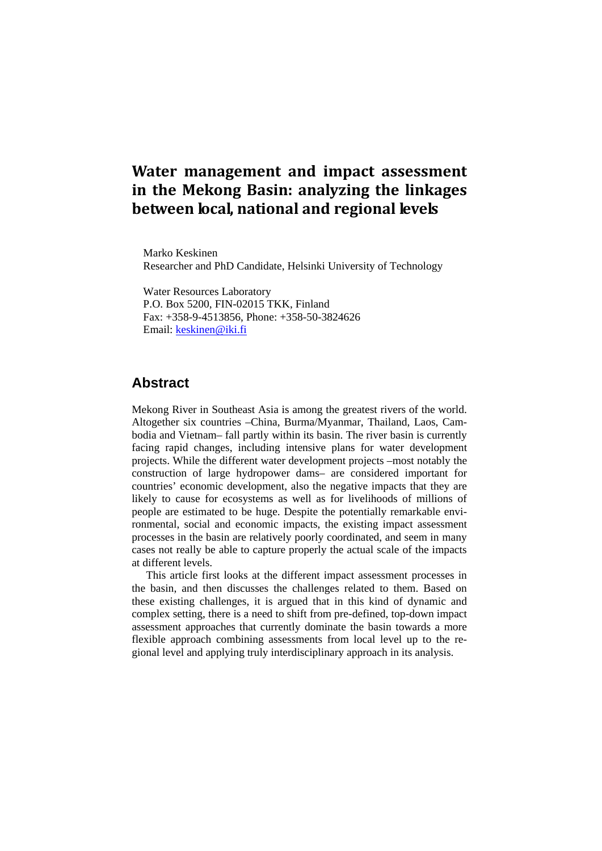# **Water management and impact assessment in the Mekong Basin: analyzing the linkages between local, national and regional levels**

Marko Keskinen Researcher and PhD Candidate, Helsinki University of Technology

Water Resources Laboratory P.O. Box 5200, FIN-02015 TKK, Finland Fax: +358-9-4513856, Phone: +358-50-3824626 Email: keskinen@iki.fi

# **Abstract**

Mekong River in Southeast Asia is among the greatest rivers of the world. Altogether six countries –China, Burma/Myanmar, Thailand, Laos, Cambodia and Vietnam– fall partly within its basin. The river basin is currently facing rapid changes, including intensive plans for water development projects. While the different water development projects –most notably the construction of large hydropower dams– are considered important for countries' economic development, also the negative impacts that they are likely to cause for ecosystems as well as for livelihoods of millions of people are estimated to be huge. Despite the potentially remarkable environmental, social and economic impacts, the existing impact assessment processes in the basin are relatively poorly coordinated, and seem in many cases not really be able to capture properly the actual scale of the impacts at different levels.

This article first looks at the different impact assessment processes in the basin, and then discusses the challenges related to them. Based on these existing challenges, it is argued that in this kind of dynamic and complex setting, there is a need to shift from pre-defined, top-down impact assessment approaches that currently dominate the basin towards a more flexible approach combining assessments from local level up to the regional level and applying truly interdisciplinary approach in its analysis.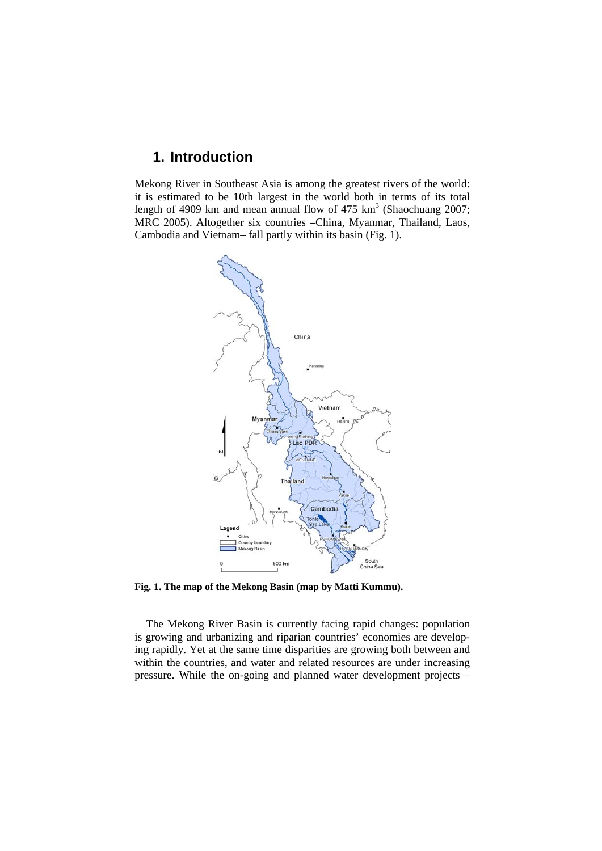# **1. Introduction**

Mekong River in Southeast Asia is among the greatest rivers of the world: it is estimated to be 10th largest in the world both in terms of its total length of 4909 km and mean annual flow of  $475 \text{ km}^3$  (Shaochuang 2007; MRC 2005). Altogether six countries –China, Myanmar, Thailand, Laos, Cambodia and Vietnam– fall partly within its basin (Fig. 1).



**Fig. 1. The map of the Mekong Basin (map by Matti Kummu).** 

The Mekong River Basin is currently facing rapid changes: population is growing and urbanizing and riparian countries' economies are developing rapidly. Yet at the same time disparities are growing both between and within the countries, and water and related resources are under increasing pressure. While the on-going and planned water development projects –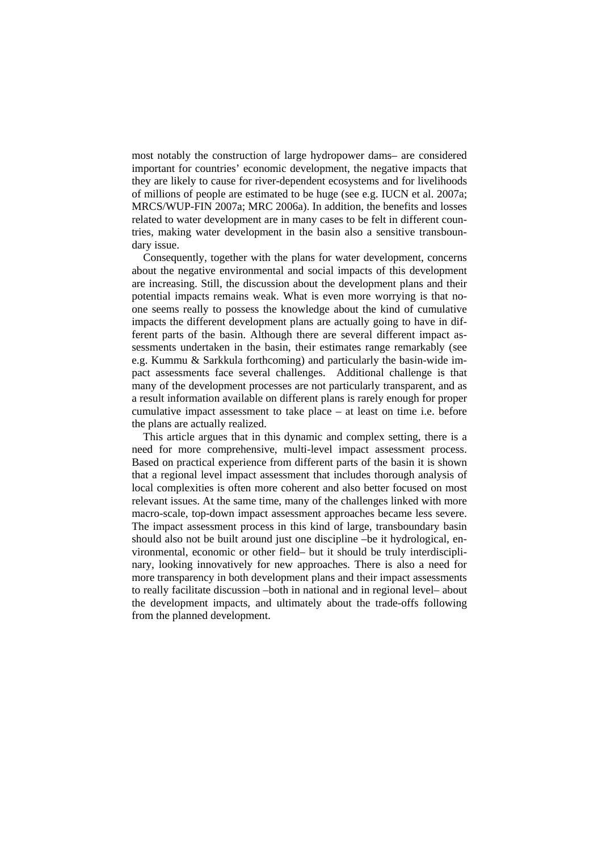most notably the construction of large hydropower dams– are considered important for countries' economic development, the negative impacts that they are likely to cause for river-dependent ecosystems and for livelihoods of millions of people are estimated to be huge (see e.g. IUCN et al. 2007a; MRCS/WUP-FIN 2007a; MRC 2006a). In addition, the benefits and losses related to water development are in many cases to be felt in different countries, making water development in the basin also a sensitive transboundary issue.

Consequently, together with the plans for water development, concerns about the negative environmental and social impacts of this development are increasing. Still, the discussion about the development plans and their potential impacts remains weak. What is even more worrying is that noone seems really to possess the knowledge about the kind of cumulative impacts the different development plans are actually going to have in different parts of the basin. Although there are several different impact assessments undertaken in the basin, their estimates range remarkably (see e.g. Kummu & Sarkkula forthcoming) and particularly the basin-wide impact assessments face several challenges. Additional challenge is that many of the development processes are not particularly transparent, and as a result information available on different plans is rarely enough for proper cumulative impact assessment to take place – at least on time i.e. before the plans are actually realized.

This article argues that in this dynamic and complex setting, there is a need for more comprehensive, multi-level impact assessment process. Based on practical experience from different parts of the basin it is shown that a regional level impact assessment that includes thorough analysis of local complexities is often more coherent and also better focused on most relevant issues. At the same time, many of the challenges linked with more macro-scale, top-down impact assessment approaches became less severe. The impact assessment process in this kind of large, transboundary basin should also not be built around just one discipline –be it hydrological, environmental, economic or other field– but it should be truly interdisciplinary, looking innovatively for new approaches. There is also a need for more transparency in both development plans and their impact assessments to really facilitate discussion –both in national and in regional level– about the development impacts, and ultimately about the trade-offs following from the planned development.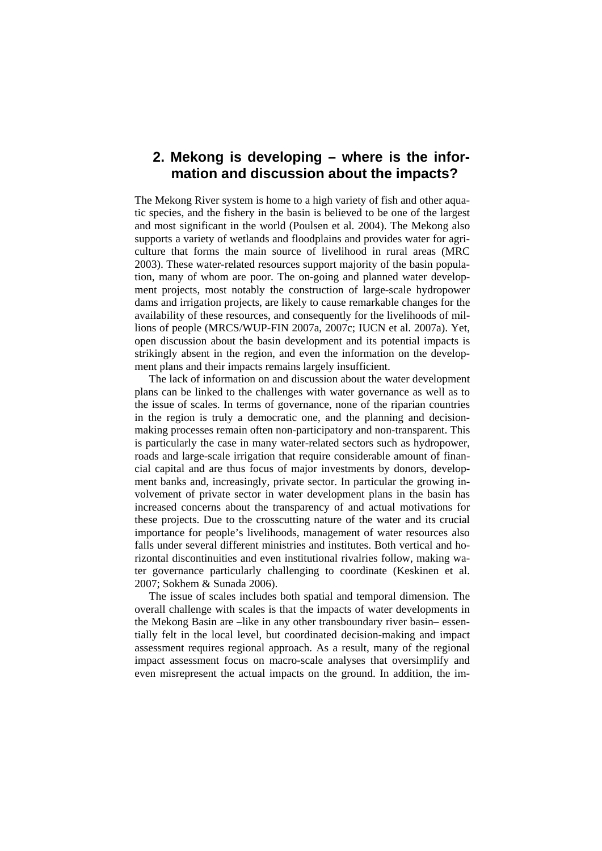# **2. Mekong is developing – where is the information and discussion about the impacts?**

The Mekong River system is home to a high variety of fish and other aquatic species, and the fishery in the basin is believed to be one of the largest and most significant in the world (Poulsen et al. 2004). The Mekong also supports a variety of wetlands and floodplains and provides water for agriculture that forms the main source of livelihood in rural areas (MRC 2003). These water-related resources support majority of the basin population, many of whom are poor. The on-going and planned water development projects, most notably the construction of large-scale hydropower dams and irrigation projects, are likely to cause remarkable changes for the availability of these resources, and consequently for the livelihoods of millions of people (MRCS/WUP-FIN 2007a, 2007c; IUCN et al. 2007a). Yet, open discussion about the basin development and its potential impacts is strikingly absent in the region, and even the information on the development plans and their impacts remains largely insufficient.

The lack of information on and discussion about the water development plans can be linked to the challenges with water governance as well as to the issue of scales. In terms of governance, none of the riparian countries in the region is truly a democratic one, and the planning and decisionmaking processes remain often non-participatory and non-transparent. This is particularly the case in many water-related sectors such as hydropower, roads and large-scale irrigation that require considerable amount of financial capital and are thus focus of major investments by donors, development banks and, increasingly, private sector. In particular the growing involvement of private sector in water development plans in the basin has increased concerns about the transparency of and actual motivations for these projects. Due to the crosscutting nature of the water and its crucial importance for people's livelihoods, management of water resources also falls under several different ministries and institutes. Both vertical and horizontal discontinuities and even institutional rivalries follow, making water governance particularly challenging to coordinate (Keskinen et al. 2007; Sokhem & Sunada 2006).

The issue of scales includes both spatial and temporal dimension. The overall challenge with scales is that the impacts of water developments in the Mekong Basin are –like in any other transboundary river basin– essentially felt in the local level, but coordinated decision-making and impact assessment requires regional approach. As a result, many of the regional impact assessment focus on macro-scale analyses that oversimplify and even misrepresent the actual impacts on the ground. In addition, the im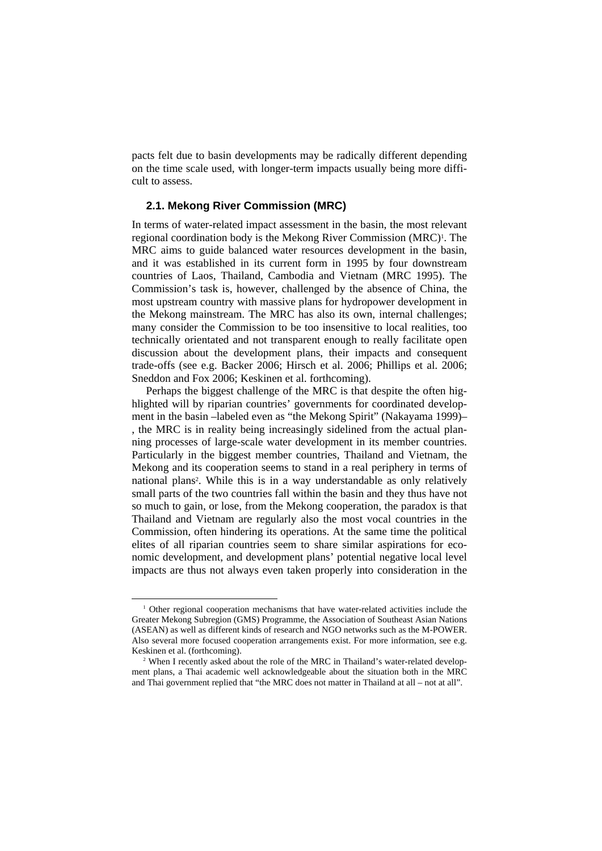pacts felt due to basin developments may be radically different depending on the time scale used, with longer-term impacts usually being more difficult to assess.

### **2.1. Mekong River Commission (MRC)**

In terms of water-related impact assessment in the basin, the most relevant regional coordination body is the Mekong River Commission (MRC)<sup>1</sup>. The MRC aims to guide balanced water resources development in the basin, and it was established in its current form in 1995 by four downstream countries of Laos, Thailand, Cambodia and Vietnam (MRC 1995). The Commission's task is, however, challenged by the absence of China, the most upstream country with massive plans for hydropower development in the Mekong mainstream. The MRC has also its own, internal challenges; many consider the Commission to be too insensitive to local realities, too technically orientated and not transparent enough to really facilitate open discussion about the development plans, their impacts and consequent trade-offs (see e.g. Backer 2006; Hirsch et al. 2006; Phillips et al. 2006; Sneddon and Fox 2006; Keskinen et al. forthcoming).

 Perhaps the biggest challenge of the MRC is that despite the often highlighted will by riparian countries' governments for coordinated development in the basin –labeled even as "the Mekong Spirit" (Nakayama 1999)– , the MRC is in reality being increasingly sidelined from the actual planning processes of large-scale water development in its member countries. Particularly in the biggest member countries, Thailand and Vietnam, the Mekong and its cooperation seems to stand in a real periphery in terms of national plans2. While this is in a way understandable as only relatively small parts of the two countries fall within the basin and they thus have not so much to gain, or lose, from the Mekong cooperation, the paradox is that Thailand and Vietnam are regularly also the most vocal countries in the Commission, often hindering its operations. At the same time the political elites of all riparian countries seem to share similar aspirations for economic development, and development plans' potential negative local level impacts are thus not always even taken properly into consideration in the

 $\frac{1}{1}$ <sup>1</sup> Other regional cooperation mechanisms that have water-related activities include the Greater Mekong Subregion (GMS) Programme, the Association of Southeast Asian Nations (ASEAN) as well as different kinds of research and NGO networks such as the M-POWER. Also several more focused cooperation arrangements exist. For more information, see e.g. Keskinen et al. (forthcoming).

<sup>&</sup>lt;sup>2</sup> When I recently asked about the role of the MRC in Thailand's water-related development plans, a Thai academic well acknowledgeable about the situation both in the MRC and Thai government replied that "the MRC does not matter in Thailand at all – not at all".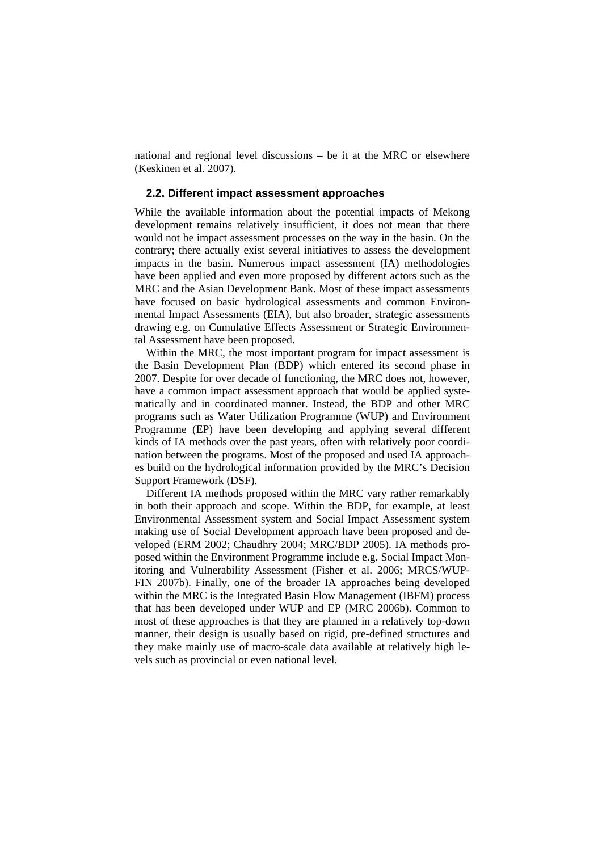national and regional level discussions – be it at the MRC or elsewhere (Keskinen et al. 2007).

### **2.2. Different impact assessment approaches**

While the available information about the potential impacts of Mekong development remains relatively insufficient, it does not mean that there would not be impact assessment processes on the way in the basin. On the contrary; there actually exist several initiatives to assess the development impacts in the basin. Numerous impact assessment (IA) methodologies have been applied and even more proposed by different actors such as the MRC and the Asian Development Bank. Most of these impact assessments have focused on basic hydrological assessments and common Environmental Impact Assessments (EIA), but also broader, strategic assessments drawing e.g. on Cumulative Effects Assessment or Strategic Environmental Assessment have been proposed.

Within the MRC, the most important program for impact assessment is the Basin Development Plan (BDP) which entered its second phase in 2007. Despite for over decade of functioning, the MRC does not, however, have a common impact assessment approach that would be applied systematically and in coordinated manner. Instead, the BDP and other MRC programs such as Water Utilization Programme (WUP) and Environment Programme (EP) have been developing and applying several different kinds of IA methods over the past years, often with relatively poor coordination between the programs. Most of the proposed and used IA approaches build on the hydrological information provided by the MRC's Decision Support Framework (DSF).

Different IA methods proposed within the MRC vary rather remarkably in both their approach and scope. Within the BDP, for example, at least Environmental Assessment system and Social Impact Assessment system making use of Social Development approach have been proposed and developed (ERM 2002; Chaudhry 2004; MRC/BDP 2005). IA methods proposed within the Environment Programme include e.g. Social Impact Monitoring and Vulnerability Assessment (Fisher et al. 2006; MRCS/WUP-FIN 2007b). Finally, one of the broader IA approaches being developed within the MRC is the Integrated Basin Flow Management (IBFM) process that has been developed under WUP and EP (MRC 2006b). Common to most of these approaches is that they are planned in a relatively top-down manner, their design is usually based on rigid, pre-defined structures and they make mainly use of macro-scale data available at relatively high levels such as provincial or even national level.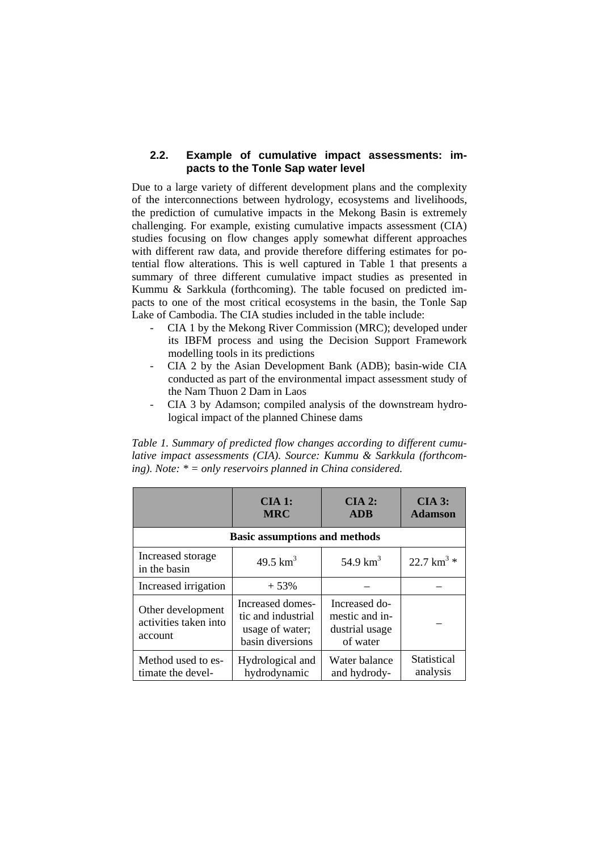### **2.2. Example of cumulative impact assessments: impacts to the Tonle Sap water level**

Due to a large variety of different development plans and the complexity of the interconnections between hydrology, ecosystems and livelihoods, the prediction of cumulative impacts in the Mekong Basin is extremely challenging. For example, existing cumulative impacts assessment (CIA) studies focusing on flow changes apply somewhat different approaches with different raw data, and provide therefore differing estimates for potential flow alterations. This is well captured in Table 1 that presents a summary of three different cumulative impact studies as presented in Kummu & Sarkkula (forthcoming). The table focused on predicted impacts to one of the most critical ecosystems in the basin, the Tonle Sap Lake of Cambodia. The CIA studies included in the table include:

- CIA 1 by the Mekong River Commission (MRC); developed under its IBFM process and using the Decision Support Framework modelling tools in its predictions
- CIA 2 by the Asian Development Bank (ADB); basin-wide CIA conducted as part of the environmental impact assessment study of the Nam Thuon 2 Dam in Laos
- CIA 3 by Adamson; compiled analysis of the downstream hydrological impact of the planned Chinese dams

*Table 1. Summary of predicted flow changes according to different cumulative impact assessments (CIA). Source: Kummu & Sarkkula (forthcoming). Note: \* = only reservoirs planned in China considered.* 

|                                                       | $CIA1:$<br><b>MRC</b>                                                         | $CIA$ 2:<br><b>ADB</b>                                        | $CIA$ 3:<br><b>Adamson</b> |  |
|-------------------------------------------------------|-------------------------------------------------------------------------------|---------------------------------------------------------------|----------------------------|--|
| <b>Basic assumptions and methods</b>                  |                                                                               |                                                               |                            |  |
| Increased storage<br>in the basin                     | 49.5 $km^3$                                                                   | 54.9 $km^3$                                                   | $22.7 \text{ km}^3$ *      |  |
| Increased irrigation                                  | $+53%$                                                                        |                                                               |                            |  |
| Other development<br>activities taken into<br>account | Increased domes-<br>tic and industrial<br>usage of water;<br>basin diversions | Increased do-<br>mestic and in-<br>dustrial usage<br>of water |                            |  |
| Method used to es-<br>timate the devel-               | Hydrological and<br>hydrodynamic                                              | Water balance<br>and hydrody-                                 | Statistical<br>analysis    |  |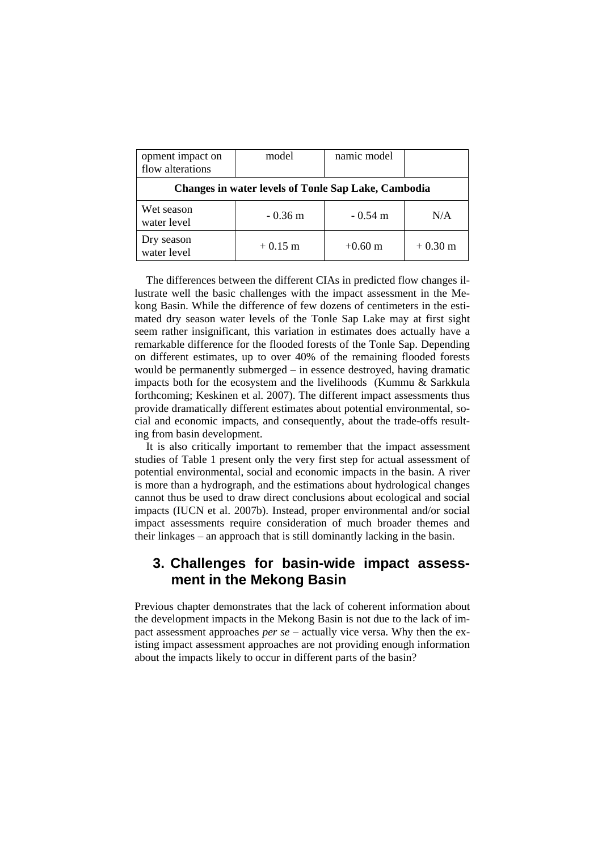| opment impact on<br>flow alterations                       | model     | namic model |                   |  |
|------------------------------------------------------------|-----------|-------------|-------------------|--|
| <b>Changes in water levels of Tonle Sap Lake, Cambodia</b> |           |             |                   |  |
| Wet season<br>water level                                  | $-0.36$ m | $-0.54$ m   | N/A               |  |
| Dry season<br>water level                                  | $+0.15$ m | $+0.60$ m   | $+0.30 \text{ m}$ |  |

The differences between the different CIAs in predicted flow changes illustrate well the basic challenges with the impact assessment in the Mekong Basin. While the difference of few dozens of centimeters in the estimated dry season water levels of the Tonle Sap Lake may at first sight seem rather insignificant, this variation in estimates does actually have a remarkable difference for the flooded forests of the Tonle Sap. Depending on different estimates, up to over 40% of the remaining flooded forests would be permanently submerged – in essence destroyed, having dramatic impacts both for the ecosystem and the livelihoods (Kummu & Sarkkula forthcoming; Keskinen et al. 2007). The different impact assessments thus provide dramatically different estimates about potential environmental, social and economic impacts, and consequently, about the trade-offs resulting from basin development.

It is also critically important to remember that the impact assessment studies of Table 1 present only the very first step for actual assessment of potential environmental, social and economic impacts in the basin. A river is more than a hydrograph, and the estimations about hydrological changes cannot thus be used to draw direct conclusions about ecological and social impacts (IUCN et al. 2007b). Instead, proper environmental and/or social impact assessments require consideration of much broader themes and their linkages – an approach that is still dominantly lacking in the basin.

# **3. Challenges for basin-wide impact assessment in the Mekong Basin**

Previous chapter demonstrates that the lack of coherent information about the development impacts in the Mekong Basin is not due to the lack of impact assessment approaches *per se* – actually vice versa. Why then the existing impact assessment approaches are not providing enough information about the impacts likely to occur in different parts of the basin?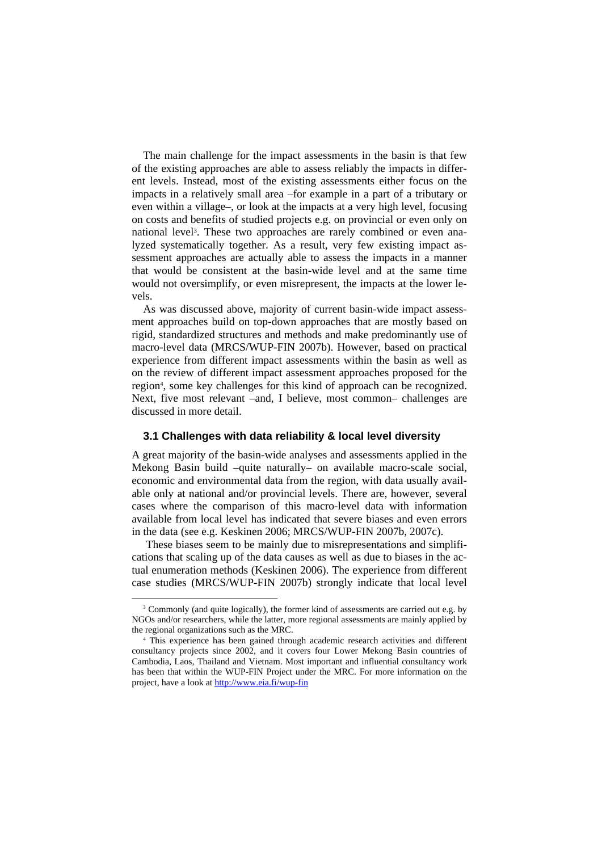The main challenge for the impact assessments in the basin is that few of the existing approaches are able to assess reliably the impacts in different levels. Instead, most of the existing assessments either focus on the impacts in a relatively small area –for example in a part of a tributary or even within a village–, or look at the impacts at a very high level, focusing on costs and benefits of studied projects e.g. on provincial or even only on national level3. These two approaches are rarely combined or even analyzed systematically together. As a result, very few existing impact assessment approaches are actually able to assess the impacts in a manner that would be consistent at the basin-wide level and at the same time would not oversimplify, or even misrepresent, the impacts at the lower levels.

As was discussed above, majority of current basin-wide impact assessment approaches build on top-down approaches that are mostly based on rigid, standardized structures and methods and make predominantly use of macro-level data (MRCS/WUP-FIN 2007b). However, based on practical experience from different impact assessments within the basin as well as on the review of different impact assessment approaches proposed for the region4, some key challenges for this kind of approach can be recognized. Next, five most relevant –and, I believe, most common– challenges are discussed in more detail.

### **3.1 Challenges with data reliability & local level diversity**

A great majority of the basin-wide analyses and assessments applied in the Mekong Basin build –quite naturally– on available macro-scale social, economic and environmental data from the region, with data usually available only at national and/or provincial levels. There are, however, several cases where the comparison of this macro-level data with information available from local level has indicated that severe biases and even errors in the data (see e.g. Keskinen 2006; MRCS/WUP-FIN 2007b, 2007c).

These biases seem to be mainly due to misrepresentations and simplifications that scaling up of the data causes as well as due to biases in the actual enumeration methods (Keskinen 2006). The experience from different case studies (MRCS/WUP-FIN 2007b) strongly indicate that local level

 $\frac{1}{3}$ <sup>3</sup> Commonly (and quite logically), the former kind of assessments are carried out e.g. by NGOs and/or researchers, while the latter, more regional assessments are mainly applied by the regional organizations such as the MRC. 4

This experience has been gained through academic research activities and different consultancy projects since 2002, and it covers four Lower Mekong Basin countries of Cambodia, Laos, Thailand and Vietnam. Most important and influential consultancy work has been that within the WUP-FIN Project under the MRC. For more information on the project, have a look at http://www.eia.fi/wup-fin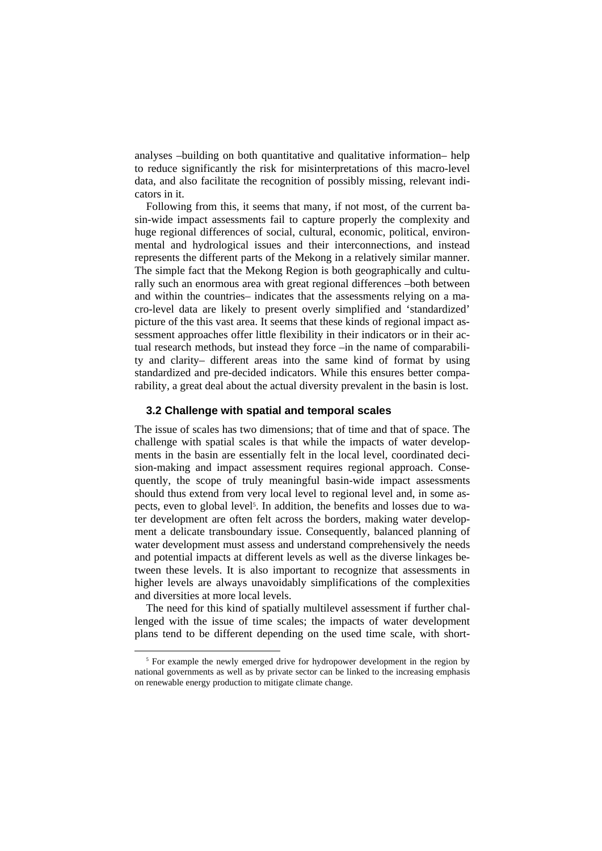analyses –building on both quantitative and qualitative information– help to reduce significantly the risk for misinterpretations of this macro-level data, and also facilitate the recognition of possibly missing, relevant indicators in it.

Following from this, it seems that many, if not most, of the current basin-wide impact assessments fail to capture properly the complexity and huge regional differences of social, cultural, economic, political, environmental and hydrological issues and their interconnections, and instead represents the different parts of the Mekong in a relatively similar manner. The simple fact that the Mekong Region is both geographically and culturally such an enormous area with great regional differences –both between and within the countries– indicates that the assessments relying on a macro-level data are likely to present overly simplified and 'standardized' picture of the this vast area. It seems that these kinds of regional impact assessment approaches offer little flexibility in their indicators or in their actual research methods, but instead they force –in the name of comparability and clarity– different areas into the same kind of format by using standardized and pre-decided indicators. While this ensures better comparability, a great deal about the actual diversity prevalent in the basin is lost.

#### **3.2 Challenge with spatial and temporal scales**

The issue of scales has two dimensions; that of time and that of space. The challenge with spatial scales is that while the impacts of water developments in the basin are essentially felt in the local level, coordinated decision-making and impact assessment requires regional approach. Consequently, the scope of truly meaningful basin-wide impact assessments should thus extend from very local level to regional level and, in some aspects, even to global level<sup>5</sup>. In addition, the benefits and losses due to water development are often felt across the borders, making water development a delicate transboundary issue. Consequently, balanced planning of water development must assess and understand comprehensively the needs and potential impacts at different levels as well as the diverse linkages between these levels. It is also important to recognize that assessments in higher levels are always unavoidably simplifications of the complexities and diversities at more local levels.

The need for this kind of spatially multilevel assessment if further challenged with the issue of time scales; the impacts of water development plans tend to be different depending on the used time scale, with short-

<sup>&</sup>lt;sup>5</sup> For example the newly emerged drive for hydropower development in the region by national governments as well as by private sector can be linked to the increasing emphasis on renewable energy production to mitigate climate change.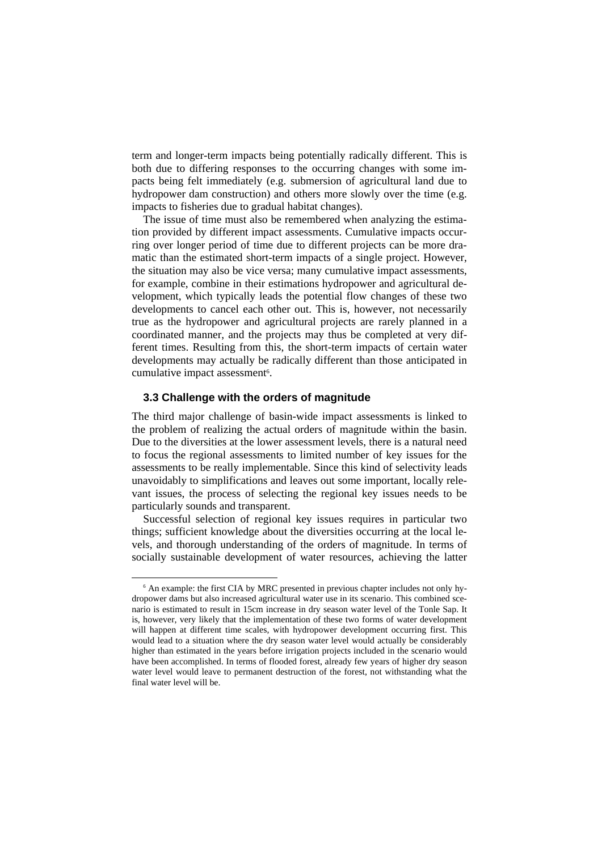term and longer-term impacts being potentially radically different. This is both due to differing responses to the occurring changes with some impacts being felt immediately (e.g. submersion of agricultural land due to hydropower dam construction) and others more slowly over the time (e.g. impacts to fisheries due to gradual habitat changes).

The issue of time must also be remembered when analyzing the estimation provided by different impact assessments. Cumulative impacts occurring over longer period of time due to different projects can be more dramatic than the estimated short-term impacts of a single project. However, the situation may also be vice versa; many cumulative impact assessments, for example, combine in their estimations hydropower and agricultural development, which typically leads the potential flow changes of these two developments to cancel each other out. This is, however, not necessarily true as the hydropower and agricultural projects are rarely planned in a coordinated manner, and the projects may thus be completed at very different times. Resulting from this, the short-term impacts of certain water developments may actually be radically different than those anticipated in cumulative impact assessment<sup>6</sup>.

### **3.3 Challenge with the orders of magnitude**

The third major challenge of basin-wide impact assessments is linked to the problem of realizing the actual orders of magnitude within the basin. Due to the diversities at the lower assessment levels, there is a natural need to focus the regional assessments to limited number of key issues for the assessments to be really implementable. Since this kind of selectivity leads unavoidably to simplifications and leaves out some important, locally relevant issues, the process of selecting the regional key issues needs to be particularly sounds and transparent.

Successful selection of regional key issues requires in particular two things; sufficient knowledge about the diversities occurring at the local levels, and thorough understanding of the orders of magnitude. In terms of socially sustainable development of water resources, achieving the latter

 <sup>6</sup> An example: the first CIA by MRC presented in previous chapter includes not only hydropower dams but also increased agricultural water use in its scenario. This combined scenario is estimated to result in 15cm increase in dry season water level of the Tonle Sap. It is, however, very likely that the implementation of these two forms of water development will happen at different time scales, with hydropower development occurring first. This would lead to a situation where the dry season water level would actually be considerably higher than estimated in the years before irrigation projects included in the scenario would have been accomplished. In terms of flooded forest, already few years of higher dry season water level would leave to permanent destruction of the forest, not withstanding what the final water level will be.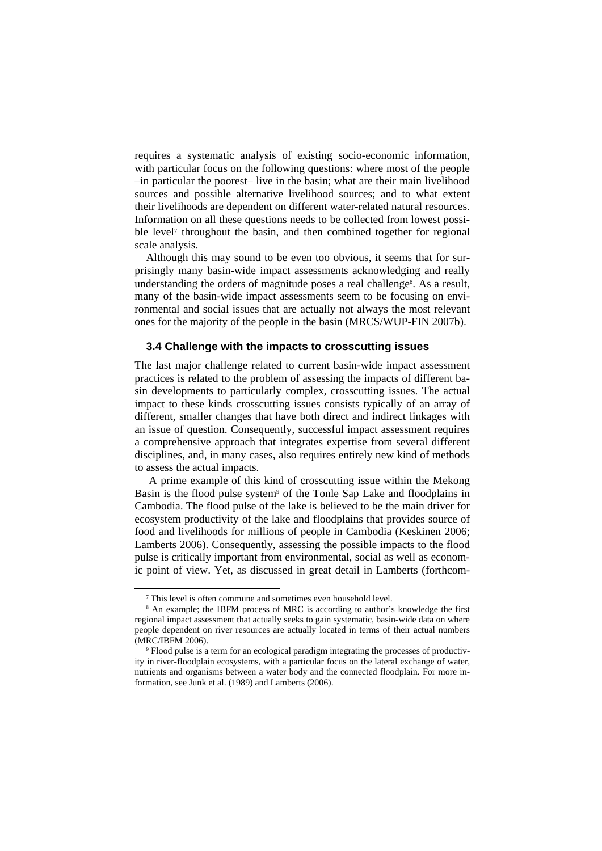requires a systematic analysis of existing socio-economic information, with particular focus on the following questions: where most of the people –in particular the poorest– live in the basin; what are their main livelihood sources and possible alternative livelihood sources; and to what extent their livelihoods are dependent on different water-related natural resources. Information on all these questions needs to be collected from lowest possible level<sup>7</sup> throughout the basin, and then combined together for regional scale analysis.

Although this may sound to be even too obvious, it seems that for surprisingly many basin-wide impact assessments acknowledging and really understanding the orders of magnitude poses a real challenge<sup>8</sup>. As a result, many of the basin-wide impact assessments seem to be focusing on environmental and social issues that are actually not always the most relevant ones for the majority of the people in the basin (MRCS/WUP-FIN 2007b).

#### **3.4 Challenge with the impacts to crosscutting issues**

The last major challenge related to current basin-wide impact assessment practices is related to the problem of assessing the impacts of different basin developments to particularly complex, crosscutting issues. The actual impact to these kinds crosscutting issues consists typically of an array of different, smaller changes that have both direct and indirect linkages with an issue of question. Consequently, successful impact assessment requires a comprehensive approach that integrates expertise from several different disciplines, and, in many cases, also requires entirely new kind of methods to assess the actual impacts.

A prime example of this kind of crosscutting issue within the Mekong Basin is the flood pulse system9 of the Tonle Sap Lake and floodplains in Cambodia. The flood pulse of the lake is believed to be the main driver for ecosystem productivity of the lake and floodplains that provides source of food and livelihoods for millions of people in Cambodia (Keskinen 2006; Lamberts 2006). Consequently, assessing the possible impacts to the flood pulse is critically important from environmental, social as well as economic point of view. Yet, as discussed in great detail in Lamberts (forthcom-

 $\frac{1}{7}$ <sup>7</sup> This level is often commune and sometimes even household level.

<sup>&</sup>lt;sup>8</sup> An example; the IBFM process of MRC is according to author's knowledge the first regional impact assessment that actually seeks to gain systematic, basin-wide data on where people dependent on river resources are actually located in terms of their actual numbers (MRC/IBFM 2006).

Flood pulse is a term for an ecological paradigm integrating the processes of productivity in river-floodplain ecosystems, with a particular focus on the lateral exchange of water, nutrients and organisms between a water body and the connected floodplain. For more information, see Junk et al. (1989) and Lamberts (2006).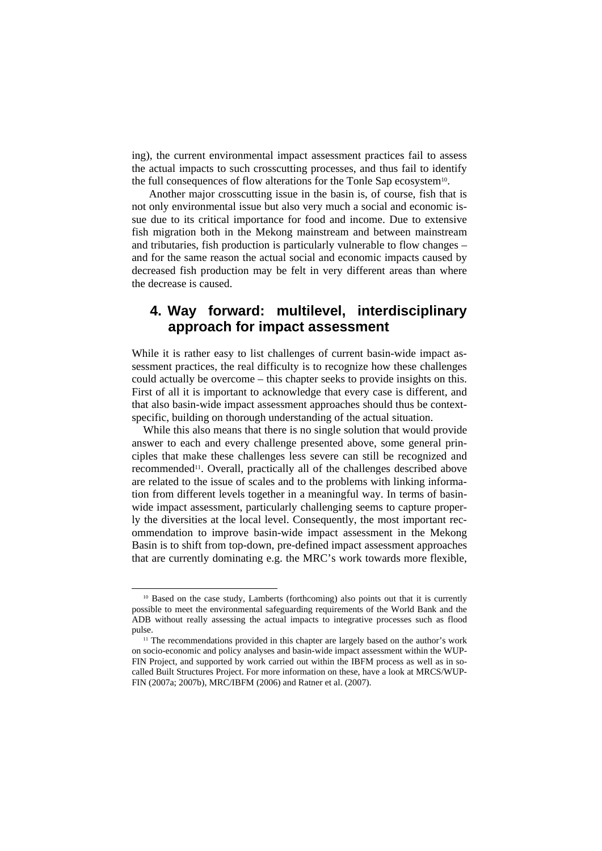ing), the current environmental impact assessment practices fail to assess the actual impacts to such crosscutting processes, and thus fail to identify the full consequences of flow alterations for the Tonle Sap ecosystem10.

 Another major crosscutting issue in the basin is, of course, fish that is not only environmental issue but also very much a social and economic issue due to its critical importance for food and income. Due to extensive fish migration both in the Mekong mainstream and between mainstream and tributaries, fish production is particularly vulnerable to flow changes – and for the same reason the actual social and economic impacts caused by decreased fish production may be felt in very different areas than where the decrease is caused.

# **4. Way forward: multilevel, interdisciplinary approach for impact assessment**

While it is rather easy to list challenges of current basin-wide impact assessment practices, the real difficulty is to recognize how these challenges could actually be overcome – this chapter seeks to provide insights on this. First of all it is important to acknowledge that every case is different, and that also basin-wide impact assessment approaches should thus be contextspecific, building on thorough understanding of the actual situation.

While this also means that there is no single solution that would provide answer to each and every challenge presented above, some general principles that make these challenges less severe can still be recognized and recommended11. Overall, practically all of the challenges described above are related to the issue of scales and to the problems with linking information from different levels together in a meaningful way. In terms of basinwide impact assessment, particularly challenging seems to capture properly the diversities at the local level. Consequently, the most important recommendation to improve basin-wide impact assessment in the Mekong Basin is to shift from top-down, pre-defined impact assessment approaches that are currently dominating e.g. the MRC's work towards more flexible,

<sup>&</sup>lt;sup>10</sup> Based on the case study, Lamberts (forthcoming) also points out that it is currently possible to meet the environmental safeguarding requirements of the World Bank and the ADB without really assessing the actual impacts to integrative processes such as flood pulse. 11 The recommendations provided in this chapter are largely based on the author's work

on socio-economic and policy analyses and basin-wide impact assessment within the WUP-FIN Project, and supported by work carried out within the IBFM process as well as in socalled Built Structures Project. For more information on these, have a look at MRCS/WUP-FIN (2007a; 2007b), MRC/IBFM (2006) and Ratner et al. (2007).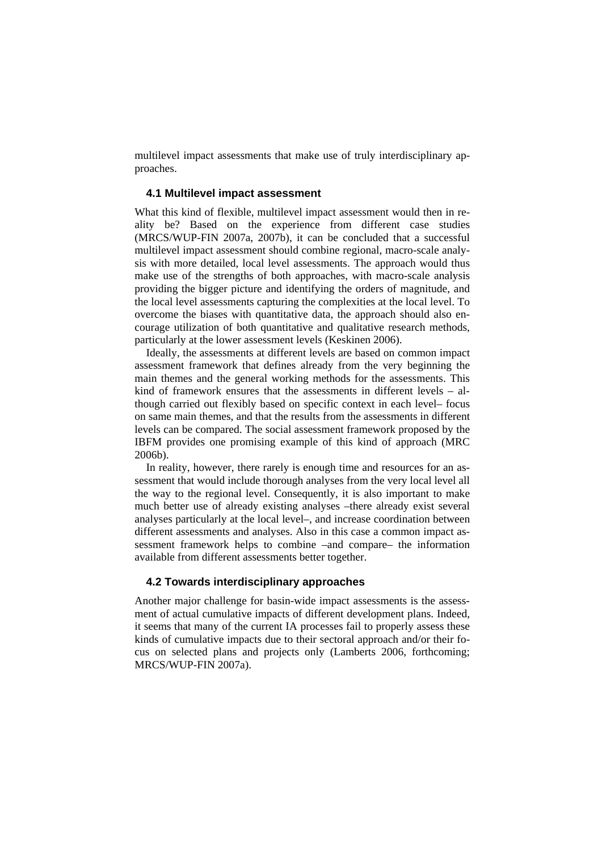multilevel impact assessments that make use of truly interdisciplinary approaches.

### **4.1 Multilevel impact assessment**

What this kind of flexible, multilevel impact assessment would then in reality be? Based on the experience from different case studies (MRCS/WUP-FIN 2007a, 2007b), it can be concluded that a successful multilevel impact assessment should combine regional, macro-scale analysis with more detailed, local level assessments. The approach would thus make use of the strengths of both approaches, with macro-scale analysis providing the bigger picture and identifying the orders of magnitude, and the local level assessments capturing the complexities at the local level. To overcome the biases with quantitative data, the approach should also encourage utilization of both quantitative and qualitative research methods, particularly at the lower assessment levels (Keskinen 2006).

Ideally, the assessments at different levels are based on common impact assessment framework that defines already from the very beginning the main themes and the general working methods for the assessments. This kind of framework ensures that the assessments in different levels – although carried out flexibly based on specific context in each level– focus on same main themes, and that the results from the assessments in different levels can be compared. The social assessment framework proposed by the IBFM provides one promising example of this kind of approach (MRC 2006b).

In reality, however, there rarely is enough time and resources for an assessment that would include thorough analyses from the very local level all the way to the regional level. Consequently, it is also important to make much better use of already existing analyses –there already exist several analyses particularly at the local level–, and increase coordination between different assessments and analyses. Also in this case a common impact assessment framework helps to combine –and compare– the information available from different assessments better together.

### **4.2 Towards interdisciplinary approaches**

Another major challenge for basin-wide impact assessments is the assessment of actual cumulative impacts of different development plans. Indeed, it seems that many of the current IA processes fail to properly assess these kinds of cumulative impacts due to their sectoral approach and/or their focus on selected plans and projects only (Lamberts 2006, forthcoming; MRCS/WUP-FIN 2007a).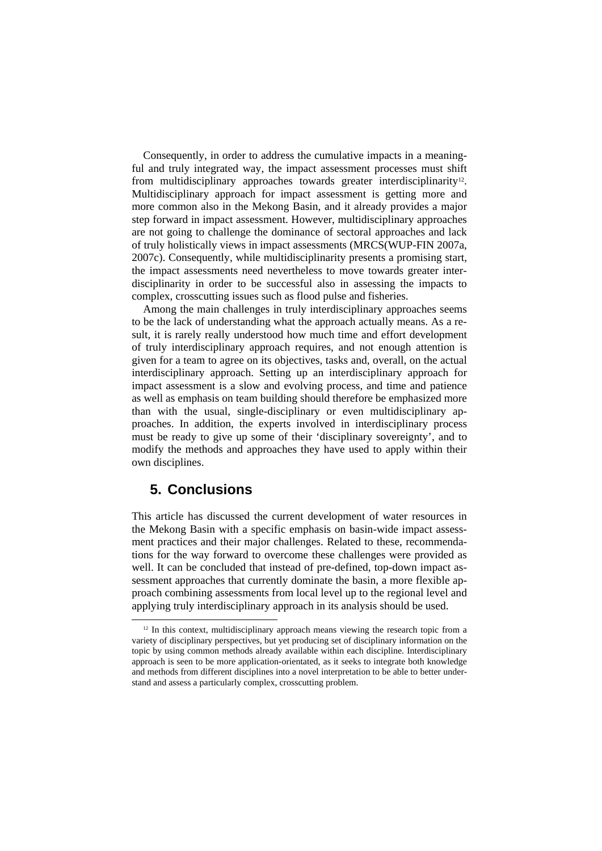Consequently, in order to address the cumulative impacts in a meaningful and truly integrated way, the impact assessment processes must shift from multidisciplinary approaches towards greater interdisciplinarity<sup>12</sup>. Multidisciplinary approach for impact assessment is getting more and more common also in the Mekong Basin, and it already provides a major step forward in impact assessment. However, multidisciplinary approaches are not going to challenge the dominance of sectoral approaches and lack of truly holistically views in impact assessments (MRCS(WUP-FIN 2007a, 2007c). Consequently, while multidisciplinarity presents a promising start, the impact assessments need nevertheless to move towards greater interdisciplinarity in order to be successful also in assessing the impacts to complex, crosscutting issues such as flood pulse and fisheries.

Among the main challenges in truly interdisciplinary approaches seems to be the lack of understanding what the approach actually means. As a result, it is rarely really understood how much time and effort development of truly interdisciplinary approach requires, and not enough attention is given for a team to agree on its objectives, tasks and, overall, on the actual interdisciplinary approach. Setting up an interdisciplinary approach for impact assessment is a slow and evolving process, and time and patience as well as emphasis on team building should therefore be emphasized more than with the usual, single-disciplinary or even multidisciplinary approaches. In addition, the experts involved in interdisciplinary process must be ready to give up some of their 'disciplinary sovereignty', and to modify the methods and approaches they have used to apply within their own disciplines.

# **5. Conclusions**

This article has discussed the current development of water resources in the Mekong Basin with a specific emphasis on basin-wide impact assessment practices and their major challenges. Related to these, recommendations for the way forward to overcome these challenges were provided as well. It can be concluded that instead of pre-defined, top-down impact assessment approaches that currently dominate the basin, a more flexible approach combining assessments from local level up to the regional level and applying truly interdisciplinary approach in its analysis should be used.

 $12$  In this context, multidisciplinary approach means viewing the research topic from a variety of disciplinary perspectives, but yet producing set of disciplinary information on the topic by using common methods already available within each discipline. Interdisciplinary approach is seen to be more application-orientated, as it seeks to integrate both knowledge and methods from different disciplines into a novel interpretation to be able to better understand and assess a particularly complex, crosscutting problem.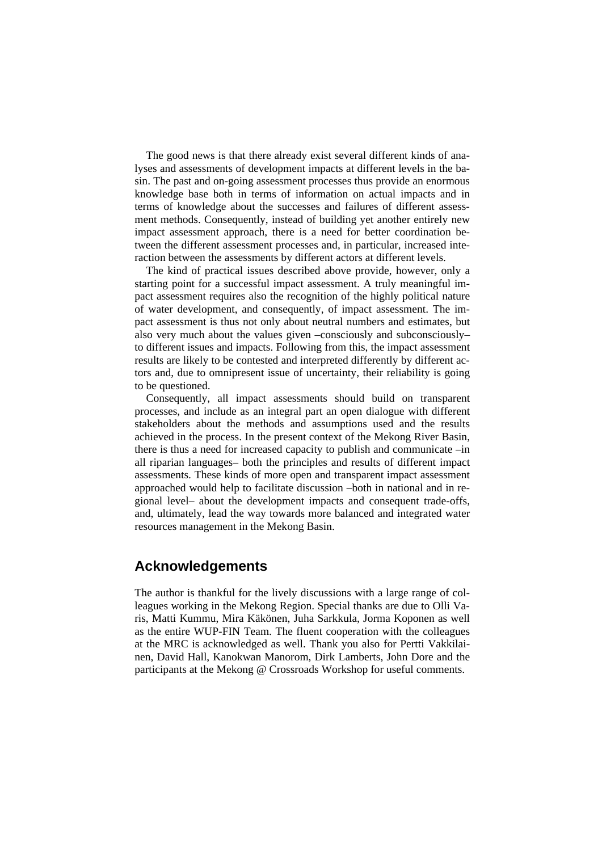The good news is that there already exist several different kinds of analyses and assessments of development impacts at different levels in the basin. The past and on-going assessment processes thus provide an enormous knowledge base both in terms of information on actual impacts and in terms of knowledge about the successes and failures of different assessment methods. Consequently, instead of building yet another entirely new impact assessment approach, there is a need for better coordination between the different assessment processes and, in particular, increased interaction between the assessments by different actors at different levels.

The kind of practical issues described above provide, however, only a starting point for a successful impact assessment. A truly meaningful impact assessment requires also the recognition of the highly political nature of water development, and consequently, of impact assessment. The impact assessment is thus not only about neutral numbers and estimates, but also very much about the values given –consciously and subconsciously– to different issues and impacts. Following from this, the impact assessment results are likely to be contested and interpreted differently by different actors and, due to omnipresent issue of uncertainty, their reliability is going to be questioned.

Consequently, all impact assessments should build on transparent processes, and include as an integral part an open dialogue with different stakeholders about the methods and assumptions used and the results achieved in the process. In the present context of the Mekong River Basin, there is thus a need for increased capacity to publish and communicate –in all riparian languages– both the principles and results of different impact assessments. These kinds of more open and transparent impact assessment approached would help to facilitate discussion –both in national and in regional level– about the development impacts and consequent trade-offs, and, ultimately, lead the way towards more balanced and integrated water resources management in the Mekong Basin.

### **Acknowledgements**

The author is thankful for the lively discussions with a large range of colleagues working in the Mekong Region. Special thanks are due to Olli Varis, Matti Kummu, Mira Käkönen, Juha Sarkkula, Jorma Koponen as well as the entire WUP-FIN Team. The fluent cooperation with the colleagues at the MRC is acknowledged as well. Thank you also for Pertti Vakkilainen, David Hall, Kanokwan Manorom, Dirk Lamberts, John Dore and the participants at the Mekong @ Crossroads Workshop for useful comments.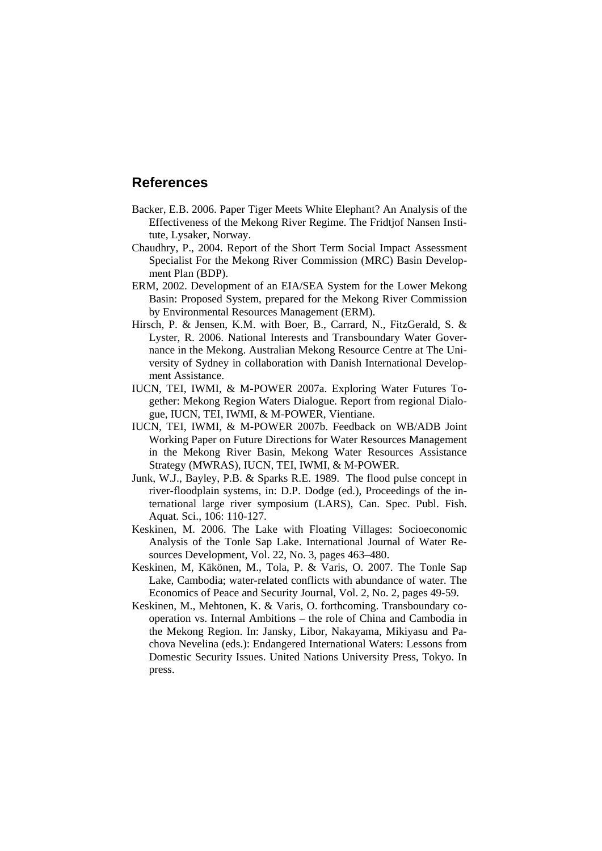# **References**

- Backer, E.B. 2006. Paper Tiger Meets White Elephant? An Analysis of the Effectiveness of the Mekong River Regime. The Fridtjof Nansen Institute, Lysaker, Norway.
- Chaudhry, P., 2004. Report of the Short Term Social Impact Assessment Specialist For the Mekong River Commission (MRC) Basin Development Plan (BDP).
- ERM, 2002. Development of an EIA/SEA System for the Lower Mekong Basin: Proposed System, prepared for the Mekong River Commission by Environmental Resources Management (ERM).
- Hirsch, P. & Jensen, K.M. with Boer, B., Carrard, N., FitzGerald, S. & Lyster, R. 2006. National Interests and Transboundary Water Governance in the Mekong. Australian Mekong Resource Centre at The University of Sydney in collaboration with Danish International Development Assistance.
- IUCN, TEI, IWMI, & M-POWER 2007a. Exploring Water Futures Together: Mekong Region Waters Dialogue. Report from regional Dialogue, IUCN, TEI, IWMI, & M-POWER, Vientiane.
- IUCN, TEI, IWMI, & M-POWER 2007b. Feedback on WB/ADB Joint Working Paper on Future Directions for Water Resources Management in the Mekong River Basin, Mekong Water Resources Assistance Strategy (MWRAS), IUCN, TEI, IWMI, & M-POWER.
- Junk, W.J., Bayley, P.B. & Sparks R.E. 1989. The flood pulse concept in river-floodplain systems, in: D.P. Dodge (ed.), Proceedings of the international large river symposium (LARS), Can. Spec. Publ. Fish. Aquat. Sci., 106: 110-127.
- Keskinen, M. 2006. The Lake with Floating Villages: Socioeconomic Analysis of the Tonle Sap Lake. International Journal of Water Resources Development, Vol. 22, No. 3, pages 463–480.
- Keskinen, M, Käkönen, M., Tola, P. & Varis, O. 2007. The Tonle Sap Lake, Cambodia; water-related conflicts with abundance of water. The Economics of Peace and Security Journal, Vol. 2, No. 2, pages 49-59.
- Keskinen, M., Mehtonen, K. & Varis, O. forthcoming. Transboundary cooperation vs. Internal Ambitions – the role of China and Cambodia in the Mekong Region. In: Jansky, Libor, Nakayama, Mikiyasu and Pachova Nevelina (eds.): Endangered International Waters: Lessons from Domestic Security Issues. United Nations University Press, Tokyo. In press.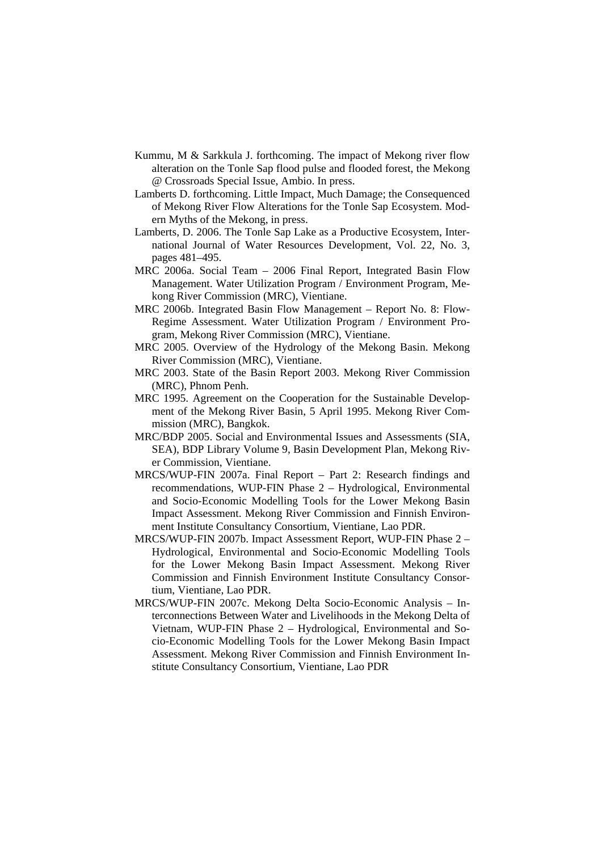- Kummu, M & Sarkkula J. forthcoming. The impact of Mekong river flow alteration on the Tonle Sap flood pulse and flooded forest, the Mekong @ Crossroads Special Issue, Ambio. In press.
- Lamberts D. forthcoming. Little Impact, Much Damage; the Consequenced of Mekong River Flow Alterations for the Tonle Sap Ecosystem. Modern Myths of the Mekong, in press.
- Lamberts, D. 2006. The Tonle Sap Lake as a Productive Ecosystem, International Journal of Water Resources Development, Vol. 22, No. 3, pages 481–495.
- MRC 2006a. Social Team 2006 Final Report, Integrated Basin Flow Management. Water Utilization Program / Environment Program, Mekong River Commission (MRC), Vientiane.
- MRC 2006b. Integrated Basin Flow Management Report No. 8: Flow-Regime Assessment. Water Utilization Program / Environment Program, Mekong River Commission (MRC), Vientiane.
- MRC 2005. Overview of the Hydrology of the Mekong Basin. Mekong River Commission (MRC), Vientiane.
- MRC 2003. State of the Basin Report 2003. Mekong River Commission (MRC), Phnom Penh.
- MRC 1995. Agreement on the Cooperation for the Sustainable Development of the Mekong River Basin, 5 April 1995. Mekong River Commission (MRC), Bangkok.
- MRC/BDP 2005. Social and Environmental Issues and Assessments (SIA, SEA), BDP Library Volume 9, Basin Development Plan, Mekong River Commission, Vientiane.
- MRCS/WUP-FIN 2007a. Final Report Part 2: Research findings and recommendations, WUP-FIN Phase 2 – Hydrological, Environmental and Socio-Economic Modelling Tools for the Lower Mekong Basin Impact Assessment. Mekong River Commission and Finnish Environment Institute Consultancy Consortium, Vientiane, Lao PDR.
- MRCS/WUP-FIN 2007b. Impact Assessment Report, WUP-FIN Phase 2 Hydrological, Environmental and Socio-Economic Modelling Tools for the Lower Mekong Basin Impact Assessment. Mekong River Commission and Finnish Environment Institute Consultancy Consortium, Vientiane, Lao PDR.
- MRCS/WUP-FIN 2007c. Mekong Delta Socio-Economic Analysis Interconnections Between Water and Livelihoods in the Mekong Delta of Vietnam, WUP-FIN Phase 2 – Hydrological, Environmental and Socio-Economic Modelling Tools for the Lower Mekong Basin Impact Assessment. Mekong River Commission and Finnish Environment Institute Consultancy Consortium, Vientiane, Lao PDR